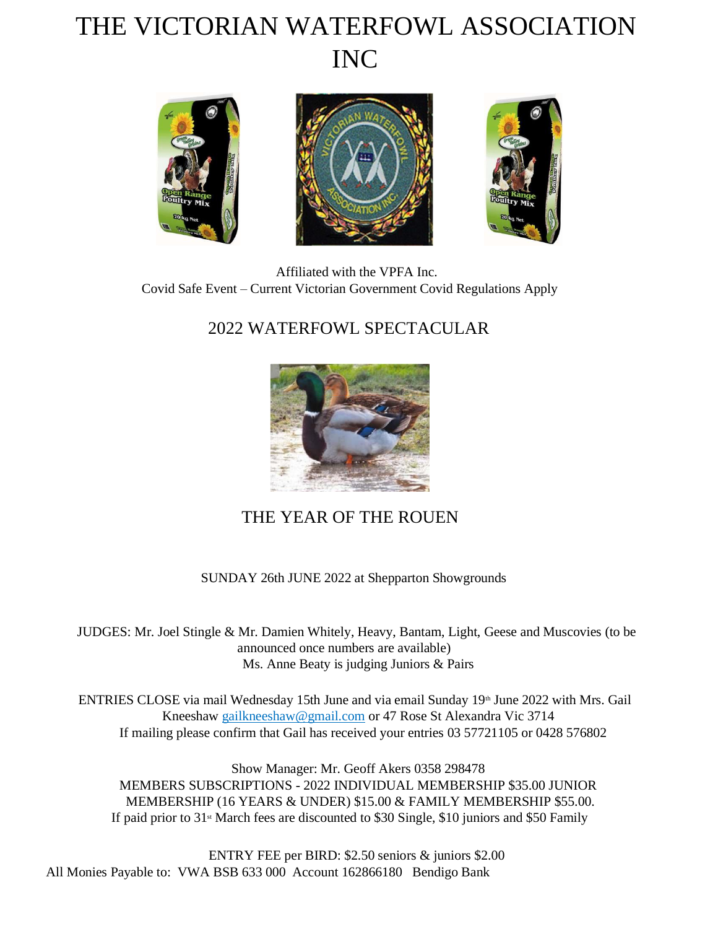# THE VICTORIAN WATERFOWL ASSOCIATION INC







Affiliated with the VPFA Inc. Covid Safe Event – Current Victorian Government Covid Regulations Apply

## 2022 WATERFOWL SPECTACULAR



THE YEAR OF THE ROUEN

SUNDAY 26th JUNE 2022 at Shepparton Showgrounds

JUDGES: Mr. Joel Stingle & Mr. Damien Whitely, Heavy, Bantam, Light, Geese and Muscovies (to be announced once numbers are available) Ms. Anne Beaty is judging Juniors & Pairs

ENTRIES CLOSE via mail Wednesday 15th June and via email Sunday  $19<sup>th</sup>$  June 2022 with Mrs. Gail Kneeshaw gailkneeshaw@gmail.com or 47 Rose St Alexandra Vic 3714 If mailing please confirm that Gail has received your entries 03 57721105 or 0428 576802

Show Manager: Mr. Geoff Akers 0358 298478 MEMBERS SUBSCRIPTIONS - 2022 INDIVIDUAL MEMBERSHIP \$35.00 JUNIOR MEMBERSHIP (16 YEARS & UNDER) \$15.00 & FAMILY MEMBERSHIP \$55.00. If paid prior to 31<sup>st</sup> March fees are discounted to \$30 Single, \$10 juniors and \$50 Family

ENTRY FEE per BIRD: \$2.50 seniors & juniors \$2.00 All Monies Payable to: VWA BSB 633 000 Account 162866180 Bendigo Bank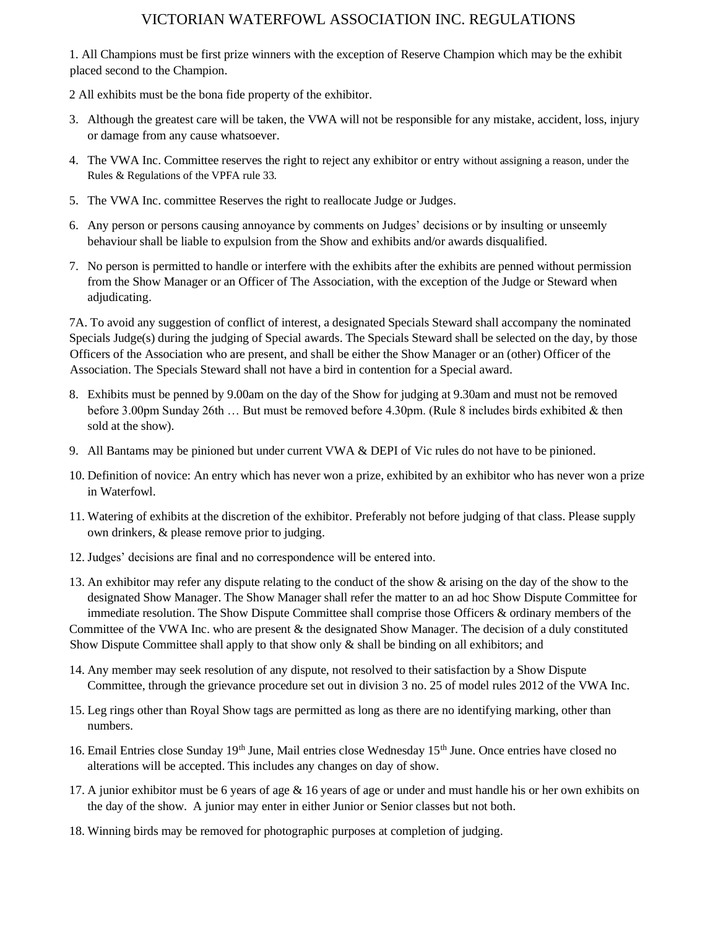## VICTORIAN WATERFOWL ASSOCIATION INC. REGULATIONS

1. All Champions must be first prize winners with the exception of Reserve Champion which may be the exhibit placed second to the Champion.

2 All exhibits must be the bona fide property of the exhibitor.

- 3. Although the greatest care will be taken, the VWA will not be responsible for any mistake, accident, loss, injury or damage from any cause whatsoever.
- 4. The VWA Inc. Committee reserves the right to reject any exhibitor or entry without assigning a reason, under the Rules & Regulations of the VPFA rule 33.
- 5. The VWA Inc. committee Reserves the right to reallocate Judge or Judges.
- 6. Any person or persons causing annoyance by comments on Judges' decisions or by insulting or unseemly behaviour shall be liable to expulsion from the Show and exhibits and/or awards disqualified.
- 7. No person is permitted to handle or interfere with the exhibits after the exhibits are penned without permission from the Show Manager or an Officer of The Association, with the exception of the Judge or Steward when adjudicating.

7A. To avoid any suggestion of conflict of interest, a designated Specials Steward shall accompany the nominated Specials Judge(s) during the judging of Special awards. The Specials Steward shall be selected on the day, by those Officers of the Association who are present, and shall be either the Show Manager or an (other) Officer of the Association. The Specials Steward shall not have a bird in contention for a Special award.

- 8. Exhibits must be penned by 9.00am on the day of the Show for judging at 9.30am and must not be removed before 3.00pm Sunday 26th … But must be removed before 4.30pm. (Rule 8 includes birds exhibited & then sold at the show).
- 9. All Bantams may be pinioned but under current VWA & DEPI of Vic rules do not have to be pinioned.
- 10. Definition of novice: An entry which has never won a prize, exhibited by an exhibitor who has never won a prize in Waterfowl.
- 11. Watering of exhibits at the discretion of the exhibitor. Preferably not before judging of that class. Please supply own drinkers, & please remove prior to judging.
- 12. Judges' decisions are final and no correspondence will be entered into.
- 13. An exhibitor may refer any dispute relating to the conduct of the show & arising on the day of the show to the designated Show Manager. The Show Manager shall refer the matter to an ad hoc Show Dispute Committee for immediate resolution. The Show Dispute Committee shall comprise those Officers & ordinary members of the Committee of the VWA Inc. who are present & the designated Show Manager. The decision of a duly constituted Show Dispute Committee shall apply to that show only & shall be binding on all exhibitors; and
- 14. Any member may seek resolution of any dispute, not resolved to their satisfaction by a Show Dispute Committee, through the grievance procedure set out in division 3 no. 25 of model rules 2012 of the VWA Inc.
- 15. Leg rings other than Royal Show tags are permitted as long as there are no identifying marking, other than numbers.
- 16. Email Entries close Sunday 19<sup>th</sup> June, Mail entries close Wednesday 15<sup>th</sup> June. Once entries have closed no alterations will be accepted. This includes any changes on day of show.
- 17. A junior exhibitor must be 6 years of age & 16 years of age or under and must handle his or her own exhibits on the day of the show. A junior may enter in either Junior or Senior classes but not both.
- 18. Winning birds may be removed for photographic purposes at completion of judging.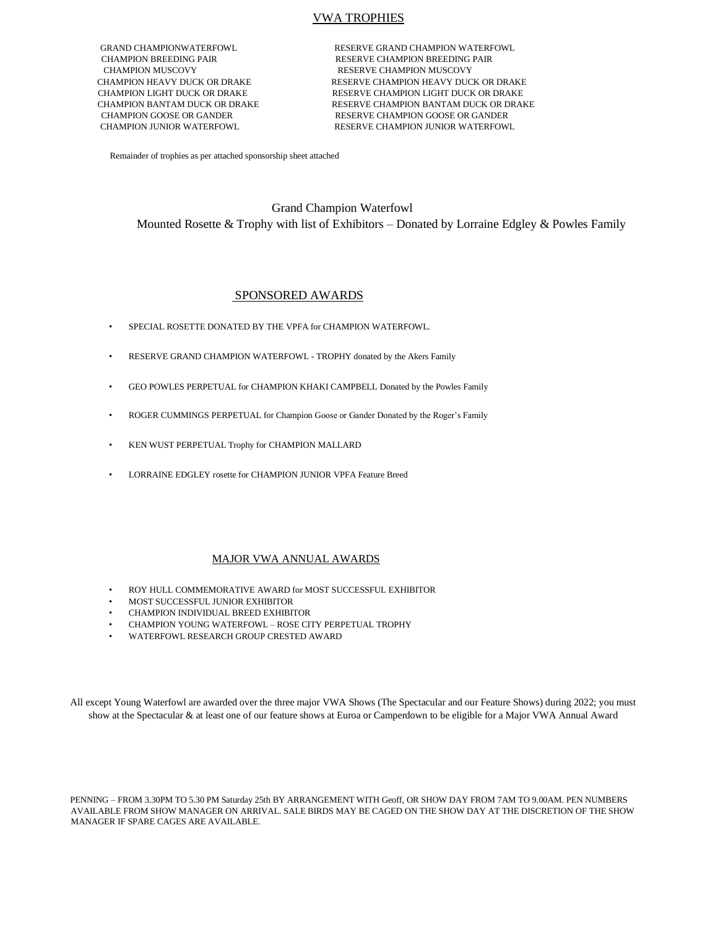#### VWA TROPHIES

CHAMPION BREEDING PAIR RESERVE CHAMPION BREEDING PAIR CHAMPION MUSCOVY RESERVE CHAMPION MUSCOVY

GRAND CHAMPIONWATERFOWL RESERVE GRAND CHAMPION WATERFOWL CHAMPION HEAVY DUCK OR DRAKE RESERVE CHAMPION HEAVY DUCK OR DRAKE CHAMPION LIGHT DUCK OR DRAKE RESERVE CHAMPION LIGHT DUCK OR DRAKE CHAMPION BANTAM DUCK OR DRAKE RESERVE CHAMPION BANTAM DUCK OR DRAKE CHAMPION GOOSE OR GANDER RESERVE CHAMPION GOOSE OR GANDER CHAMPION JUNIOR WATERFOWL RESERVE CHAMPION JUNIOR WATERFOWL

Remainder of trophies as per attached sponsorship sheet attached

#### Grand Champion Waterfowl Mounted Rosette & Trophy with list of Exhibitors – Donated by Lorraine Edgley & Powles Family

#### SPONSORED AWARDS

- SPECIAL ROSETTE DONATED BY THE VPFA for CHAMPION WATERFOWL.
- RESERVE GRAND CHAMPION WATERFOWL TROPHY donated by the Akers Family
- GEO POWLES PERPETUAL for CHAMPION KHAKI CAMPBELL Donated by the Powles Family
- ROGER CUMMINGS PERPETUAL for Champion Goose or Gander Donated by the Roger's Family
- KEN WUST PERPETUAL Trophy for CHAMPION MALLARD
- LORRAINE EDGLEY rosette for CHAMPION JUNIOR VPFA Feature Breed

#### MAJOR VWA ANNUAL AWARDS

- ROY HULL COMMEMORATIVE AWARD for MOST SUCCESSFUL EXHIBITOR
- MOST SUCCESSFUL JUNIOR EXHIBITOR
- CHAMPION INDIVIDUAL BREED EXHIBITOR
- CHAMPION YOUNG WATERFOWL ROSE CITY PERPETUAL TROPHY
- WATERFOWL RESEARCH GROUP CRESTED AWARD

All except Young Waterfowl are awarded over the three major VWA Shows (The Spectacular and our Feature Shows) during 2022; you must show at the Spectacular & at least one of our feature shows at Euroa or Camperdown to be eligible for a Major VWA Annual Award

PENNING – FROM 3.30PM TO 5.30 PM Saturday 25th BY ARRANGEMENT WITH Geoff, OR SHOW DAY FROM 7AM TO 9.00AM. PEN NUMBERS AVAILABLE FROM SHOW MANAGER ON ARRIVAL. SALE BIRDS MAY BE CAGED ON THE SHOW DAY AT THE DISCRETION OF THE SHOW MANAGER IF SPARE CAGES ARE AVAILABLE.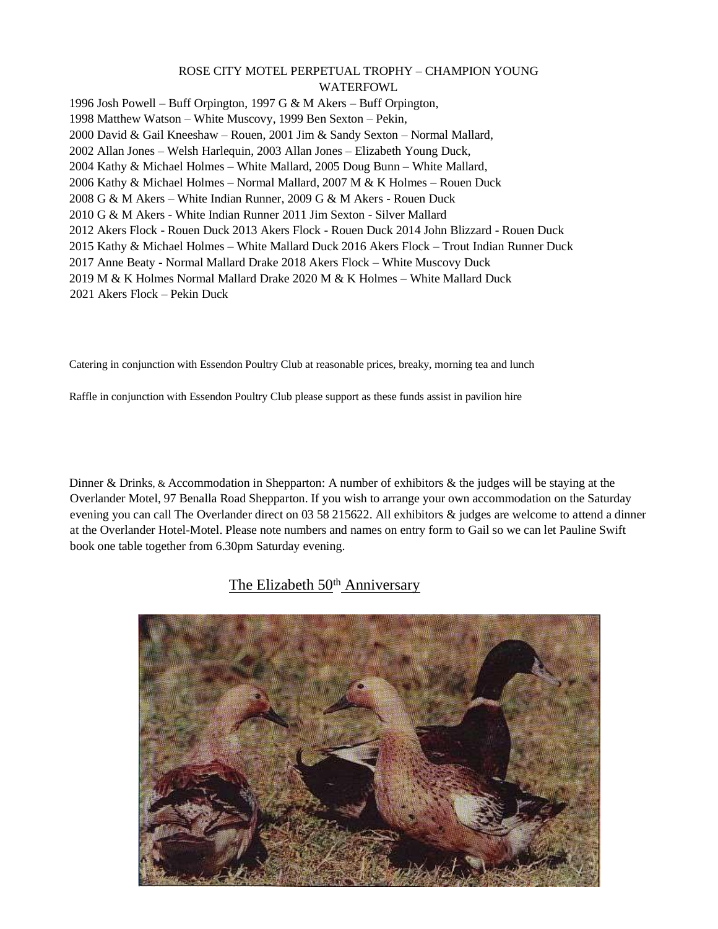### ROSE CITY MOTEL PERPETUAL TROPHY – CHAMPION YOUNG WATERFOWL.

1996 Josh Powell – Buff Orpington, 1997 G & M Akers – Buff Orpington, 1998 Matthew Watson – White Muscovy, 1999 Ben Sexton – Pekin, 2000 David & Gail Kneeshaw – Rouen, 2001 Jim & Sandy Sexton – Normal Mallard, 2002 Allan Jones – Welsh Harlequin, 2003 Allan Jones – Elizabeth Young Duck, 2004 Kathy & Michael Holmes – White Mallard, 2005 Doug Bunn – White Mallard, 2006 Kathy & Michael Holmes – Normal Mallard, 2007 M & K Holmes – Rouen Duck 2008 G & M Akers – White Indian Runner, 2009 G & M Akers - Rouen Duck 2010 G & M Akers - White Indian Runner 2011 Jim Sexton - Silver Mallard 2012 Akers Flock - Rouen Duck 2013 Akers Flock - Rouen Duck 2014 John Blizzard - Rouen Duck 2015 Kathy & Michael Holmes – White Mallard Duck 2016 Akers Flock – Trout Indian Runner Duck 2017 Anne Beaty - Normal Mallard Drake 2018 Akers Flock – White Muscovy Duck 2019 M & K Holmes Normal Mallard Drake 2020 M & K Holmes – White Mallard Duck 2021 Akers Flock – Pekin Duck

Catering in conjunction with Essendon Poultry Club at reasonable prices, breaky, morning tea and lunch

Raffle in conjunction with Essendon Poultry Club please support as these funds assist in pavilion hire

Dinner & Drinks, & Accommodation in Shepparton: A number of exhibitors & the judges will be staying at the Overlander Motel, 97 Benalla Road Shepparton. If you wish to arrange your own accommodation on the Saturday evening you can call The Overlander direct on 03 58 215622. All exhibitors & judges are welcome to attend a dinner at the Overlander Hotel-Motel. Please note numbers and names on entry form to Gail so we can let Pauline Swift book one table together from 6.30pm Saturday evening.

## The Elizabeth 50<sup>th</sup> Anniversary

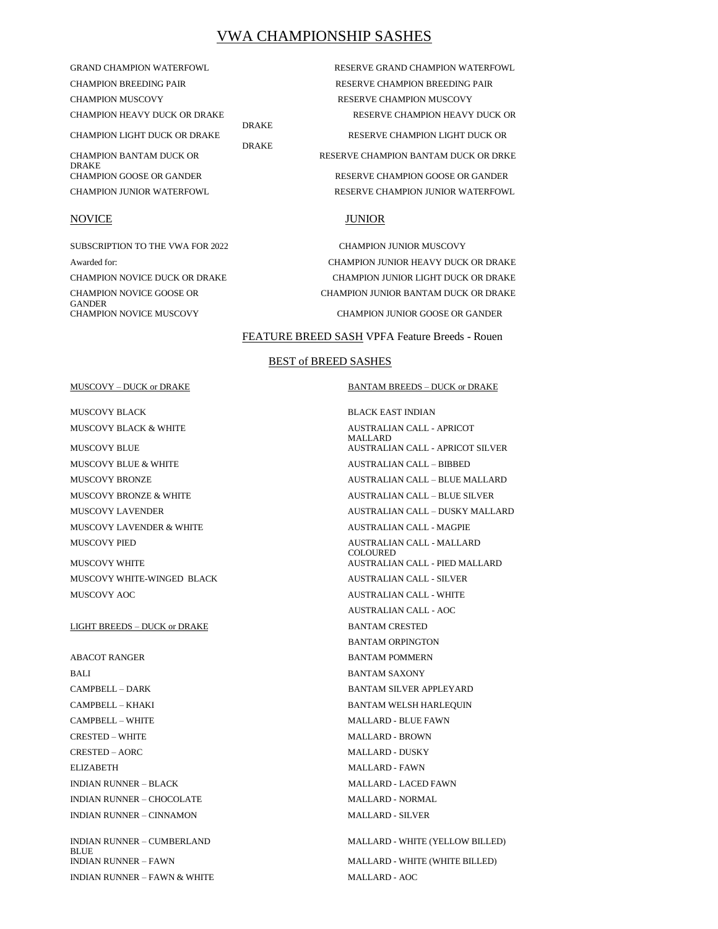#### VWA CHAMPIONSHIP SASHES

CHAMPION BREEDING PAIR **RESERVE CHAMPION BREEDING PAIR** CHAMPION MUSCOVY RESERVE CHAMPION MUSCOVY DRAKE CHAMPION LIGHT DUCK OR DRAKE RESERVE CHAMPION LIGHT DUCK OR DRAKE CHAMPION BANTAM DUCK OR DRAKE<br>CHAMPION GOOSE OR GANDER

#### NOVICE JUNIOR

SUBSCRIPTION TO THE VWA FOR 2022 CHAMPION JUNIOR MUSCOVY CHAMPION NOVICE GOOSE OR GANDER<br>CHAMPION NOVICE MUSCOVY

GRAND CHAMPION WATERFOWL RESERVE GRAND CHAMPION WATERFOWL CHAMPION HEAVY DUCK OR DRAKE RESERVE CHAMPION HEAVY DUCK OR RESERVE CHAMPION BANTAM DUCK OR DRKE RESERVE CHAMPION GOOSE OR GANDER CHAMPION JUNIOR WATERFOWL RESERVE CHAMPION JUNIOR WATERFOWL

Awarded for: CHAMPION JUNIOR HEAVY DUCK OR DRAKE CHAMPION NOVICE DUCK OR DRAKE CHAMPION JUNIOR LIGHT DUCK OR DRAKE CHAMPION JUNIOR BANTAM DUCK OR DRAKE CHAMPION JUNIOR GOOSE OR GANDER

#### FEATURE BREED SASH VPFA Feature Breeds - Rouen

#### BEST of BREED SASHES

MUSCOVY BLACK BLACK BLACK EAST INDIAN

MUSCOVY BLUE & WHITE  $\overline{a}$  australian call – bibbed  $\overline{a}$ MUSCOVY LAVENDER & WHITE AUSTRALIAN CALL - MAGPIE MUSCOVY PIED AUSTRALIAN CALL - MALLARD MUSCOVY WHITE-WINGED BLACK AUSTRALIAN CALL - SILVER

#### LIGHT BREEDS – DUCK or DRAKE BANTAM CRESTED

ABACOT RANGER BANTAM POMMERN BALI BANTAM SAXONY CAMPBELL – DARK BANTAM SILVER APPLEYARD CAMPBELL – KHAKI BANTAM WELSH HARLEQUIN CAMPBELL – WHITE **MALLARD - BLUE FAWN** CRESTED – WHITE MALLARD - BROWN CRESTED – AORC MALLARD - DUSKY ELIZABETH MALLARD - FAWN INDIAN RUNNER – BLACK MALLARD - LACED FAWN INDIAN RUNNER – CHOCOLATE MALLARD - NORMAL INDIAN RUNNER – CINNAMON MALLARD - SILVER INDIAN RUNNER – CUMBERLAND BLUE<br>INDIAN RUNNER – FAWN

INDIAN RUNNER – FAWN & WHITE MALLARD - AOC

#### MUSCOVY – DUCK or DRAKE BANTAM BREEDS – DUCK OF DRAKE

MUSCOVY BLACK & WHITE AUSTRALIAN CALL - APRICOT MALLARD MUSCOVY BLUE AUSTRALIAN CALL - APRICOT SILVER MUSCOVY BRONZE AUSTRALIAN CALL – BLUE MALLARD MUSCOVY BRONZE & WHITE AUSTRALIAN CALL – BLUE SILVER MUSCOVY LAVENDER AUSTRALIAN CALL – DUSKY MALLARD COLOURED MUSCOVY WHITE AUSTRALIAN CALL - PIED MALLARD MUSCOVY AOC AUSTRALIAN CALL - WHITE AUSTRALIAN CALL - AOC BANTAM ORPINGTON MALLARD - WHITE (YELLOW BILLED) MALLARD - WHITE (WHITE BILLED)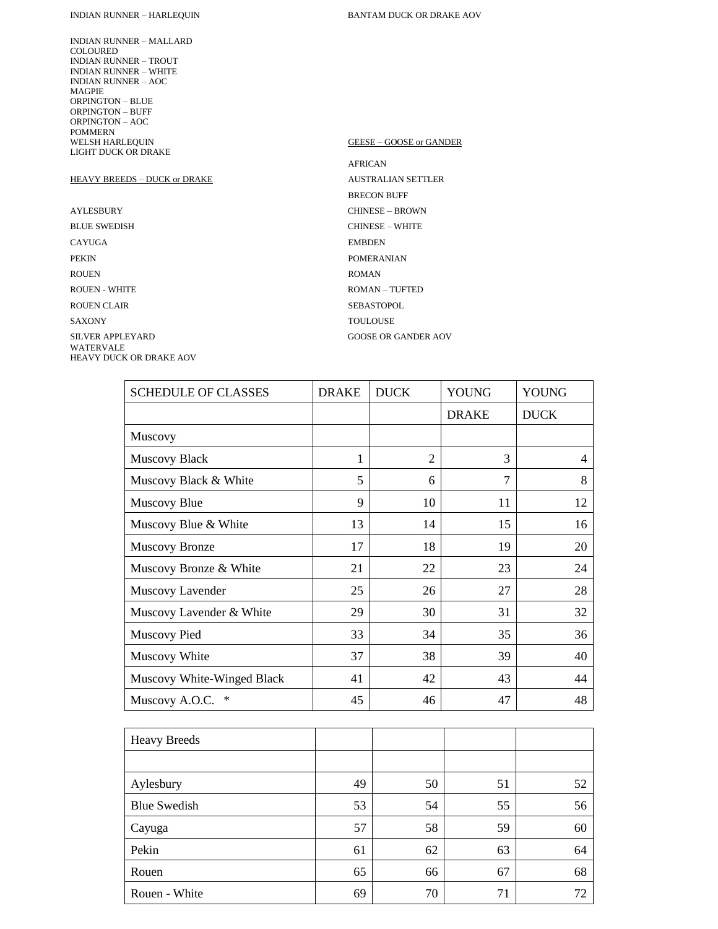INDIAN RUNNER – MALLARD COLOURED INDIAN RUNNER – TROUT INDIAN RUNNER – WHITE INDIAN RUNNER – AOC MAGPIE ORPINGTON – BLUE ORPINGTON – BUFF ORPINGTON – AOC POMMERN WELSH HARLEQUIN LIGHT DUCK OR DRAKE

#### HEAVY BREEDS – DUCK or DRAKE AUSTRALIAN SETTLER

BLUE SWEDISH CHINESE – WHITE CAYUGA EMBDEN PEKIN POMERANIAN ROUEN ROMAN ROUEN - WHITE ROMAN – TUFTED ROUEN CLAIR SEBASTOPOL SAXONY TOULOUSE SILVER APPLEYARD WATERVALE HEAVY DUCK OR DRAKE AOV

GEESE – GOOSE or GANDER AFRICAN BRECON BUFF AYLESBURY CHINESE – BROWN GOOSE OR GANDER AOV

| <b>SCHEDULE OF CLASSES</b> | <b>DRAKE</b> | <b>DUCK</b>    | <b>YOUNG</b> | <b>YOUNG</b>   |
|----------------------------|--------------|----------------|--------------|----------------|
|                            |              |                | <b>DRAKE</b> | <b>DUCK</b>    |
| Muscovy                    |              |                |              |                |
| <b>Muscovy Black</b>       | $\mathbf{1}$ | $\overline{2}$ | 3            | $\overline{4}$ |
| Muscovy Black & White      | 5            | 6              | 7            | 8              |
| Muscovy Blue               | 9            | 10             | 11           | 12             |
| Muscovy Blue & White       | 13           | 14             | 15           | 16             |
| <b>Muscovy Bronze</b>      | 17           | 18             | 19           | 20             |
| Muscovy Bronze & White     | 21           | 22             | 23           | 24             |
| Muscovy Lavender           | 25           | 26             | 27           | 28             |
| Muscovy Lavender & White   | 29           | 30             | 31           | 32             |
| Muscovy Pied               | 33           | 34             | 35           | 36             |
| Muscovy White              | 37           | 38             | 39           | 40             |
| Muscovy White-Winged Black | 41           | 42             | 43           | 44             |
| Muscovy A.O.C. *           | 45           | 46             | 47           | 48             |
|                            |              |                |              |                |
| <b>Heavy Breeds</b>        |              |                |              |                |
|                            |              |                |              |                |
| Aylesbury                  | 49           | 50             | 51           | 52             |
| <b>Blue Swedish</b>        | 53           | 54             | 55           | 56             |
| Cayuga                     | 57           | 58             | 59           | 60             |
| Pekin                      | 61           | 62             | 63           | 64             |
| Rouen                      | 65           | 66             | 67           | 68             |

Rouen - White 69 70 71 72

BANTAM DUCK OR DRAKE AOV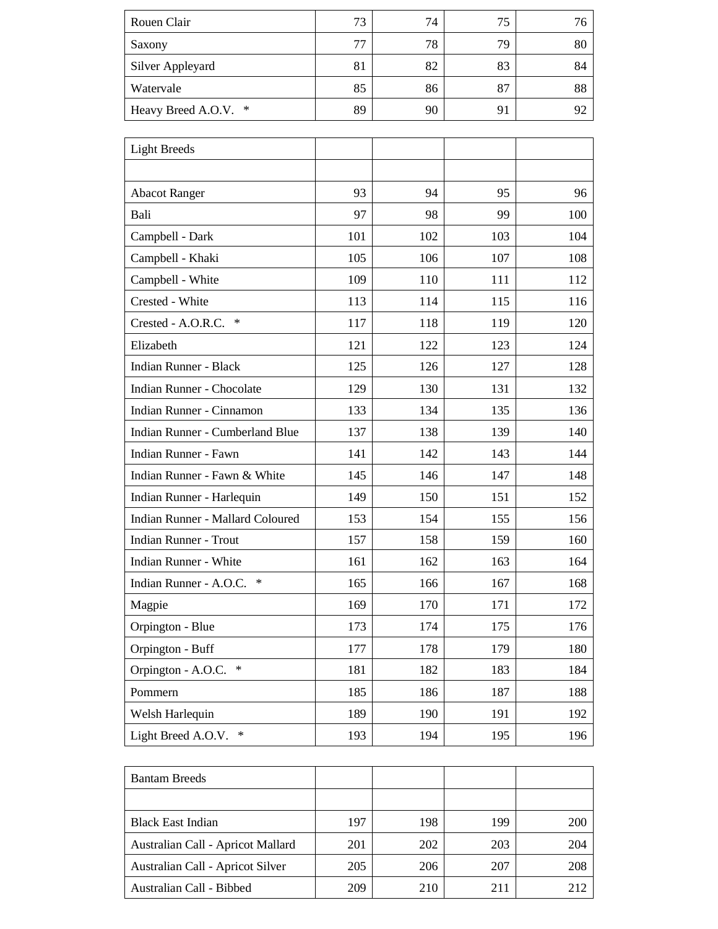| Rouen Clair          | 73 | 74 | 75 | 76 |
|----------------------|----|----|----|----|
| Saxony               | 77 | 78 | 79 | 80 |
| Silver Appleyard     | 81 | 82 | 83 | 84 |
| Watervale            | 85 | 86 | 87 | 88 |
| Heavy Breed A.O.V. * | 89 | 90 | 91 | 92 |

| <b>Light Breeds</b>                     |     |     |     |     |
|-----------------------------------------|-----|-----|-----|-----|
|                                         |     |     |     |     |
| <b>Abacot Ranger</b>                    | 93  | 94  | 95  | 96  |
| Bali                                    | 97  | 98  | 99  | 100 |
| Campbell - Dark                         | 101 | 102 | 103 | 104 |
| Campbell - Khaki                        | 105 | 106 | 107 | 108 |
| Campbell - White                        | 109 | 110 | 111 | 112 |
| Crested - White                         | 113 | 114 | 115 | 116 |
| $\ast$<br>Crested - A.O.R.C.            | 117 | 118 | 119 | 120 |
| Elizabeth                               | 121 | 122 | 123 | 124 |
| <b>Indian Runner - Black</b>            | 125 | 126 | 127 | 128 |
| Indian Runner - Chocolate               | 129 | 130 | 131 | 132 |
| Indian Runner - Cinnamon                | 133 | 134 | 135 | 136 |
| Indian Runner - Cumberland Blue         | 137 | 138 | 139 | 140 |
| <b>Indian Runner - Fawn</b>             | 141 | 142 | 143 | 144 |
| Indian Runner - Fawn & White            | 145 | 146 | 147 | 148 |
| Indian Runner - Harlequin               | 149 | 150 | 151 | 152 |
| <b>Indian Runner - Mallard Coloured</b> | 153 | 154 | 155 | 156 |
| <b>Indian Runner - Trout</b>            | 157 | 158 | 159 | 160 |
| <b>Indian Runner - White</b>            | 161 | 162 | 163 | 164 |
| $\ast$<br>Indian Runner - A.O.C.        | 165 | 166 | 167 | 168 |
| Magpie                                  | 169 | 170 | 171 | 172 |
| Orpington - Blue                        | 173 | 174 | 175 | 176 |
| Orpington - Buff                        | 177 | 178 | 179 | 180 |
| $\star$<br>Orpington - A.O.C.           | 181 | 182 | 183 | 184 |
| Pommern                                 | 185 | 186 | 187 | 188 |
| Welsh Harlequin                         | 189 | 190 | 191 | 192 |
| $\ast$<br>Light Breed A.O.V.            | 193 | 194 | 195 | 196 |

| <b>Bantam Breeds</b>              |     |     |     |     |
|-----------------------------------|-----|-----|-----|-----|
|                                   |     |     |     |     |
| <b>Black East Indian</b>          | 197 | 198 | 199 | 200 |
| Australian Call - Apricot Mallard | 201 | 202 | 203 | 204 |
| Australian Call - Apricot Silver  | 205 | 206 | 207 | 208 |
| Australian Call - Bibbed          | 209 | 210 | 211 | 212 |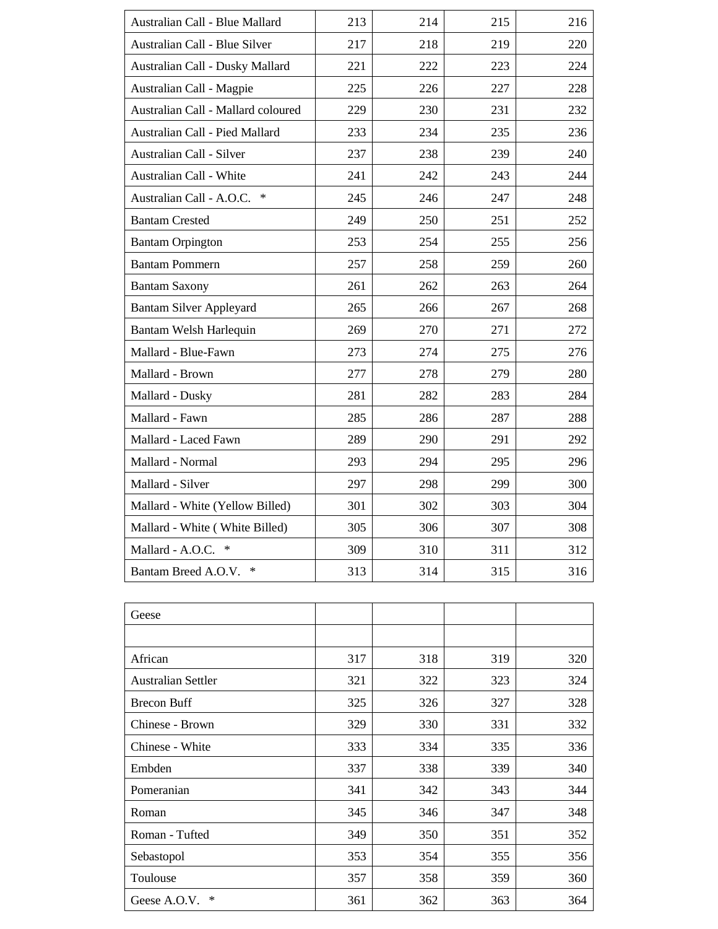| Australian Call - Blue Mallard     | 213 | 214 | 215 | 216 |
|------------------------------------|-----|-----|-----|-----|
| Australian Call - Blue Silver      | 217 | 218 | 219 | 220 |
| Australian Call - Dusky Mallard    | 221 | 222 | 223 | 224 |
| Australian Call - Magpie           | 225 | 226 | 227 | 228 |
| Australian Call - Mallard coloured | 229 | 230 | 231 | 232 |
| Australian Call - Pied Mallard     | 233 | 234 | 235 | 236 |
| Australian Call - Silver           | 237 | 238 | 239 | 240 |
| Australian Call - White            | 241 | 242 | 243 | 244 |
| $\ast$<br>Australian Call - A.O.C. | 245 | 246 | 247 | 248 |
| <b>Bantam Crested</b>              | 249 | 250 | 251 | 252 |
| <b>Bantam Orpington</b>            | 253 | 254 | 255 | 256 |
| <b>Bantam Pommern</b>              | 257 | 258 | 259 | 260 |
| <b>Bantam Saxony</b>               | 261 | 262 | 263 | 264 |
| <b>Bantam Silver Appleyard</b>     | 265 | 266 | 267 | 268 |
| Bantam Welsh Harlequin             | 269 | 270 | 271 | 272 |
| Mallard - Blue-Fawn                | 273 | 274 | 275 | 276 |
| Mallard - Brown                    | 277 | 278 | 279 | 280 |
| Mallard - Dusky                    | 281 | 282 | 283 | 284 |
| Mallard - Fawn                     | 285 | 286 | 287 | 288 |
| Mallard - Laced Fawn               | 289 | 290 | 291 | 292 |
| Mallard - Normal                   | 293 | 294 | 295 | 296 |
| Mallard - Silver                   | 297 | 298 | 299 | 300 |
| Mallard - White (Yellow Billed)    | 301 | 302 | 303 | 304 |
| Mallard - White (White Billed)     | 305 | 306 | 307 | 308 |
| Mallard - A.O.C.<br>$\ast$         | 309 | 310 | 311 | 312 |
| Bantam Breed A.O.V.<br>$\ast$      | 313 | 314 | 315 | 316 |

| Geese                     |     |     |     |     |
|---------------------------|-----|-----|-----|-----|
|                           |     |     |     |     |
| African                   | 317 | 318 | 319 | 320 |
| <b>Australian Settler</b> | 321 | 322 | 323 | 324 |
| <b>Brecon Buff</b>        | 325 | 326 | 327 | 328 |
| Chinese - Brown           | 329 | 330 | 331 | 332 |
| Chinese - White           | 333 | 334 | 335 | 336 |
| Embden                    | 337 | 338 | 339 | 340 |
| Pomeranian                | 341 | 342 | 343 | 344 |
| Roman                     | 345 | 346 | 347 | 348 |
| Roman - Tufted            | 349 | 350 | 351 | 352 |
| Sebastopol                | 353 | 354 | 355 | 356 |
| Toulouse                  | 357 | 358 | 359 | 360 |
| Geese A.O.V.<br>$\ast$    | 361 | 362 | 363 | 364 |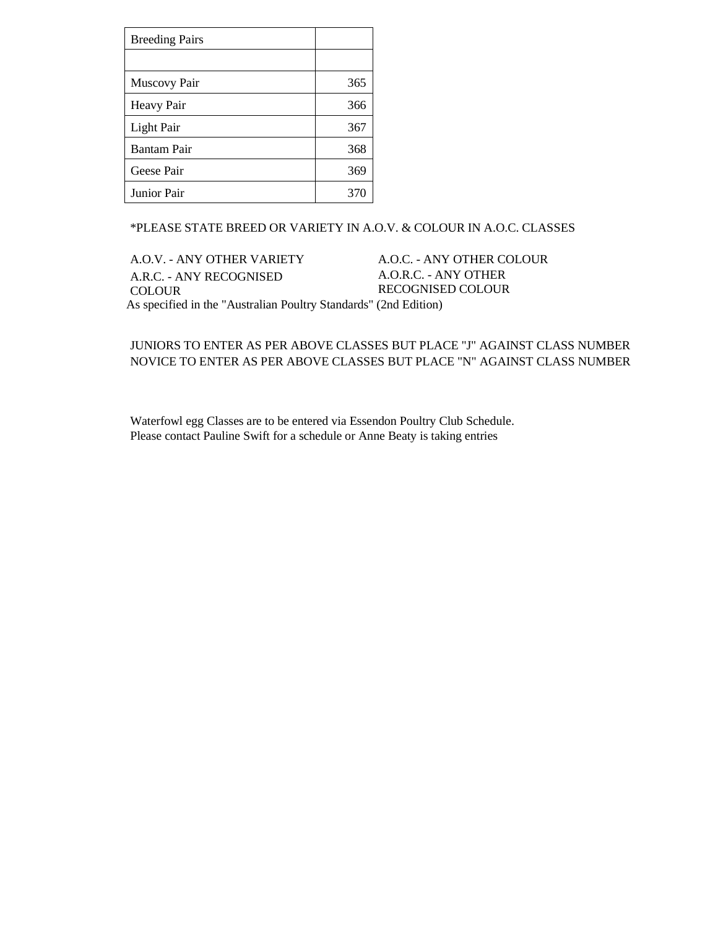| <b>Breeding Pairs</b> |     |
|-----------------------|-----|
|                       |     |
| <b>Muscovy Pair</b>   | 365 |
| <b>Heavy Pair</b>     | 366 |
| Light Pair            | 367 |
| <b>Bantam Pair</b>    | 368 |
| Geese Pair            | 369 |
| Junior Pair           | 370 |

### \*PLEASE STATE BREED OR VARIETY IN A.O.V. & COLOUR IN A.O.C. CLASSES

A.O.V. - ANY OTHER VARIETY A.O.C. - ANY OTHER COLOUR A.R.C. - ANY RECOGNISED **COLOUR** A.O.R.C. - ANY OTHER RECOGNISED COLOUR As specified in the "Australian Poultry Standards" (2nd Edition)

### JUNIORS TO ENTER AS PER ABOVE CLASSES BUT PLACE "J" AGAINST CLASS NUMBER NOVICE TO ENTER AS PER ABOVE CLASSES BUT PLACE "N" AGAINST CLASS NUMBER

Waterfowl egg Classes are to be entered via Essendon Poultry Club Schedule. Please contact Pauline Swift for a schedule or Anne Beaty is taking entries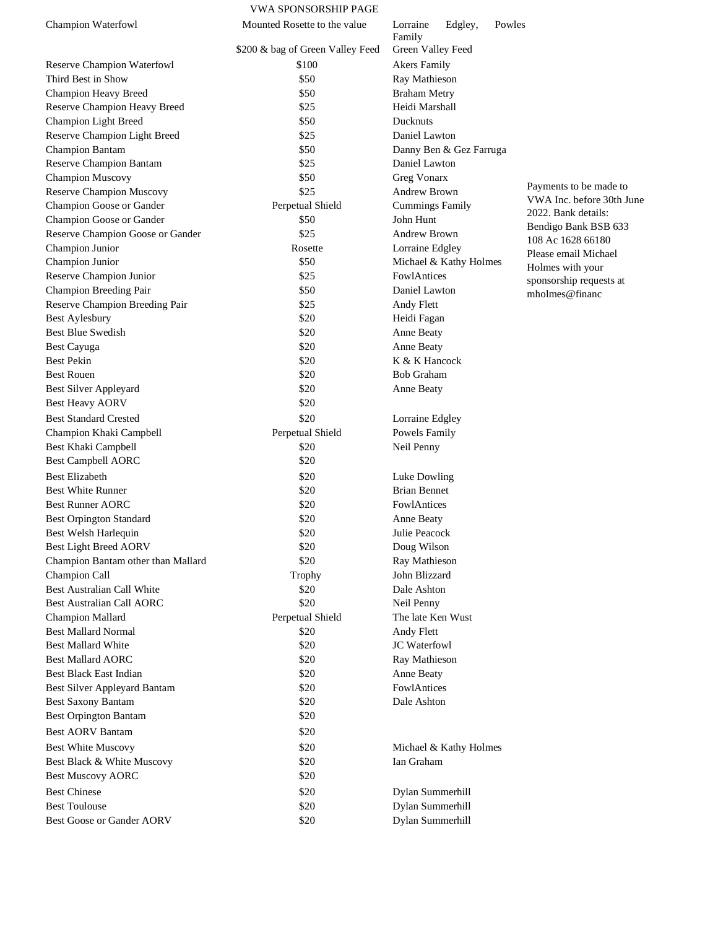|                                    | <b>VWA SPONSORSHIP PAGE</b>      |                                         |                                                     |
|------------------------------------|----------------------------------|-----------------------------------------|-----------------------------------------------------|
| Champion Waterfowl                 | Mounted Rosette to the value     | Lorraine<br>Powles<br>Edgley,<br>Family |                                                     |
|                                    | \$200 & bag of Green Valley Feed | Green Valley Feed                       |                                                     |
| <b>Reserve Champion Waterfowl</b>  | \$100                            | <b>Akers Family</b>                     |                                                     |
| Third Best in Show                 | \$50                             | Ray Mathieson                           |                                                     |
| <b>Champion Heavy Breed</b>        | \$50                             | <b>Braham Metry</b>                     |                                                     |
| Reserve Champion Heavy Breed       | \$25                             | Heidi Marshall                          |                                                     |
| <b>Champion Light Breed</b>        | \$50                             | Ducknuts                                |                                                     |
| Reserve Champion Light Breed       | \$25                             | Daniel Lawton                           |                                                     |
| Champion Bantam                    | \$50                             | Danny Ben & Gez Farruga                 |                                                     |
| Reserve Champion Bantam            | \$25                             | Daniel Lawton                           |                                                     |
| <b>Champion Muscovy</b>            | \$50                             | <b>Greg Vonarx</b>                      |                                                     |
| Reserve Champion Muscovy           | \$25                             | Andrew Brown                            | Payments to be made to<br>VWA Inc. before 30th June |
| Champion Goose or Gander           | Perpetual Shield                 | <b>Cummings Family</b>                  | 2022. Bank details:                                 |
| Champion Goose or Gander           | \$50                             | John Hunt                               | Bendigo Bank BSB 633                                |
| Reserve Champion Goose or Gander   | \$25                             | <b>Andrew Brown</b>                     | 108 Ac 1628 66180                                   |
| Champion Junior                    | Rosette                          | Lorraine Edgley                         | Please email Michael                                |
| Champion Junior                    | \$50                             | Michael & Kathy Holmes                  | Holmes with your                                    |
| Reserve Champion Junior            | \$25                             | FowlAntices                             | sponsorship requests at                             |
| Champion Breeding Pair             | \$50                             | Daniel Lawton                           | mholmes@financ                                      |
| Reserve Champion Breeding Pair     | \$25                             | Andy Flett                              |                                                     |
| <b>Best Aylesbury</b>              | \$20                             | Heidi Fagan                             |                                                     |
| <b>Best Blue Swedish</b>           | \$20                             | Anne Beaty                              |                                                     |
| Best Cayuga                        | \$20                             | Anne Beaty                              |                                                     |
| <b>Best Pekin</b>                  | \$20                             | K & K Hancock                           |                                                     |
| <b>Best Rouen</b>                  | \$20                             | <b>Bob Graham</b>                       |                                                     |
| Best Silver Appleyard              | \$20                             | Anne Beaty                              |                                                     |
| <b>Best Heavy AORV</b>             | \$20                             |                                         |                                                     |
| <b>Best Standard Crested</b>       | \$20                             | Lorraine Edgley                         |                                                     |
| Champion Khaki Campbell            | Perpetual Shield                 | Powels Family                           |                                                     |
| Best Khaki Campbell                | \$20                             | Neil Penny                              |                                                     |
| <b>Best Campbell AORC</b>          | \$20                             |                                         |                                                     |
| <b>Best Elizabeth</b>              | \$20                             | Luke Dowling                            |                                                     |
| <b>Best White Runner</b>           | \$20                             | <b>Brian Bennet</b>                     |                                                     |
| <b>Best Runner AORC</b>            | \$20                             | FowlAntices                             |                                                     |
| <b>Best Orpington Standard</b>     | \$20                             | Anne Beaty                              |                                                     |
| Best Welsh Harlequin               | \$20                             | Julie Peacock                           |                                                     |
| <b>Best Light Breed AORV</b>       | \$20                             | Doug Wilson                             |                                                     |
| Champion Bantam other than Mallard | \$20                             | Ray Mathieson                           |                                                     |
| Champion Call                      | Trophy                           | John Blizzard                           |                                                     |
| Best Australian Call White         | \$20                             | Dale Ashton                             |                                                     |
| <b>Best Australian Call AORC</b>   | \$20                             | Neil Penny                              |                                                     |
| <b>Champion Mallard</b>            | Perpetual Shield                 | The late Ken Wust                       |                                                     |
| <b>Best Mallard Normal</b>         | \$20                             | Andy Flett                              |                                                     |
| <b>Best Mallard White</b>          | \$20                             | JC Waterfowl                            |                                                     |
| <b>Best Mallard AORC</b>           | \$20                             | Ray Mathieson                           |                                                     |
| <b>Best Black East Indian</b>      | \$20                             | Anne Beaty                              |                                                     |
| Best Silver Appleyard Bantam       | \$20                             | FowlAntices                             |                                                     |
| <b>Best Saxony Bantam</b>          | \$20                             | Dale Ashton                             |                                                     |
| <b>Best Orpington Bantam</b>       | \$20                             |                                         |                                                     |
| <b>Best AORV Bantam</b>            | \$20                             |                                         |                                                     |
| <b>Best White Muscovy</b>          | \$20                             | Michael & Kathy Holmes                  |                                                     |
| Best Black & White Muscovy         | \$20                             | Ian Graham                              |                                                     |
| <b>Best Muscovy AORC</b>           | \$20                             |                                         |                                                     |
| <b>Best Chinese</b>                | \$20                             | Dylan Summerhill                        |                                                     |
| <b>Best Toulouse</b>               | \$20                             | Dylan Summerhill                        |                                                     |
| Best Goose or Gander AORV          | \$20                             | Dylan Summerhill                        |                                                     |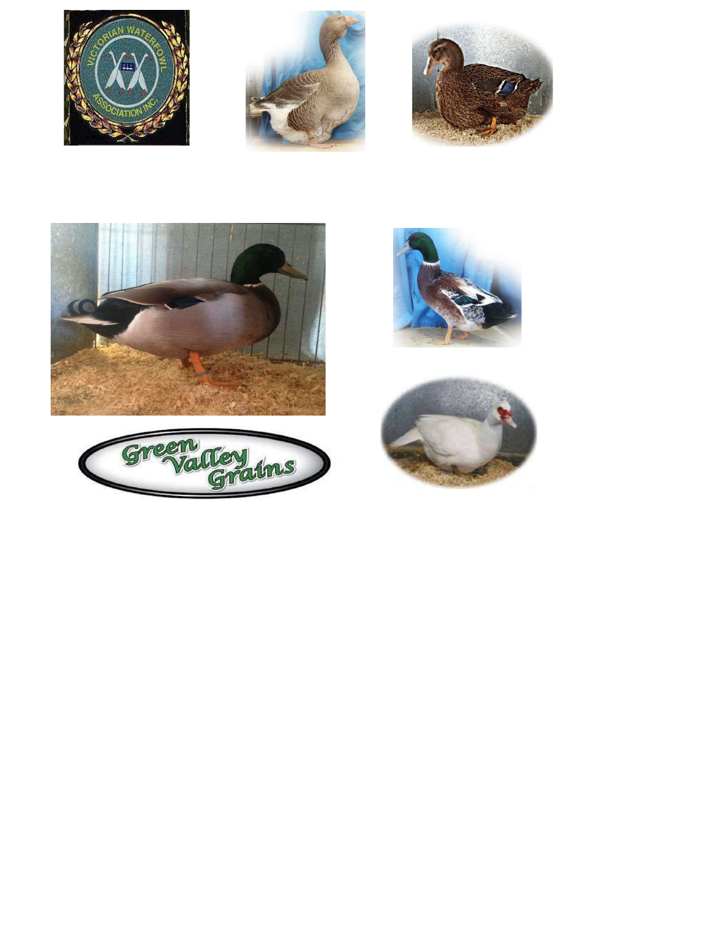